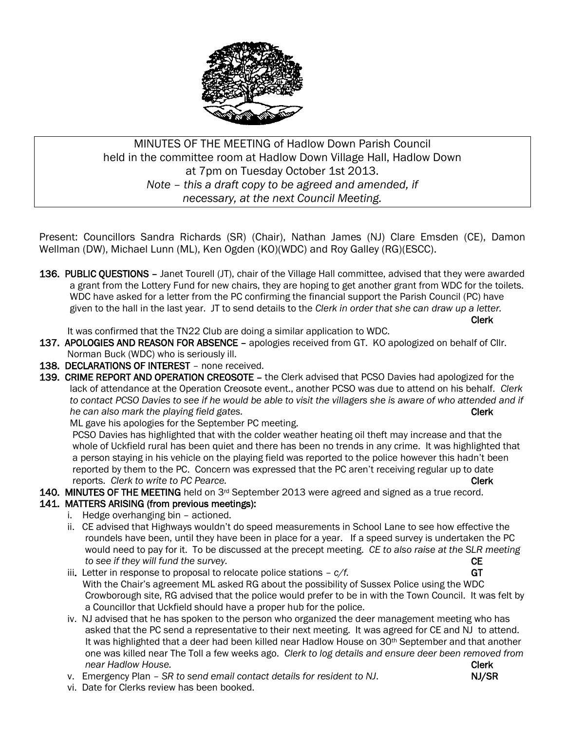

# MINUTES OF THE MEETING of Hadlow Down Parish Council held in the committee room at Hadlow Down Village Hall, Hadlow Down at 7pm on Tuesday October 1st 2013. *Note – this a draft copy to be agreed and amended, if necessary, at the next Council Meeting.*

Present: Councillors Sandra Richards (SR) (Chair), Nathan James (NJ) Clare Emsden (CE), Damon Wellman (DW), Michael Lunn (ML), Ken Ogden (KO)(WDC) and Roy Galley (RG)(ESCC).

136. PUBLIC QUESTIONS - Janet Tourell (JT), chair of the Village Hall committee, advised that they were awarded a grant from the Lottery Fund for new chairs, they are hoping to get another grant from WDC for the toilets. WDC have asked for a letter from the PC confirming the financial support the Parish Council (PC) have given to the hall in the last year. JT to send details to the *Clerk in order that she can draw up a letter.*  Clerk

It was confirmed that the TN22 Club are doing a similar application to WDC.

- 137. APOLOGIES AND REASON FOR ABSENCE apologies received from GT. KO apologized on behalf of Cllr. Norman Buck (WDC) who is seriously ill.
- 138. DECLARATIONS OF INTEREST none received.
- 139. CRIME REPORT AND OPERATION CREOSOTE the Clerk advised that PCSO Davies had apologized for the lack of attendance at the Operation Creosote event., another PCSO was due to attend on his behalf. *Clerk to contact PCSO Davies to see if he would be able to visit the villagers she is aware of who attended and if he can also mark the playing field gates.* **Clerk Clerk Clerk Clerk**

ML gave his apologies for the September PC meeting.

PCSO Davies has highlighted that with the colder weather heating oil theft may increase and that the whole of Uckfield rural has been quiet and there has been no trends in any crime. It was highlighted that a person staying in his vehicle on the playing field was reported to the police however this hadn't been reported by them to the PC. Concern was expressed that the PC aren't receiving regular up to date **reports.** *Clerk to write to PC Pearce.* Clerk **Clerk Clerk Clerk** 

140. MINUTES OF THE MEETING held on  $3<sup>rd</sup>$  September 2013 were agreed and signed as a true record.

### 141. MATTERS ARISING (from previous meetings):

- i. Hedge overhanging bin actioned.
- ii. CE advised that Highways wouldn't do speed measurements in School Lane to see how effective the roundels have been, until they have been in place for a year. If a speed survey is undertaken the PC would need to pay for it. To be discussed at the precept meeting. *CE to also raise at the SLR meeting to see if they will fund the survey.* CE
- iii. Letter in response to proposal to relocate police stations  $-\frac{c}{f}$ . GT With the Chair's agreement ML asked RG about the possibility of Sussex Police using the WDC Crowborough site, RG advised that the police would prefer to be in with the Town Council. It was felt by a Councillor that Uckfield should have a proper hub for the police.
- iv. NJ advised that he has spoken to the person who organized the deer management meeting who has asked that the PC send a representative to their next meeting. It was agreed for CE and NJ to attend. It was highlighted that a deer had been killed near Hadlow House on 30<sup>th</sup> September and that another one was killed near The Toll a few weeks ago. *Clerk to log details and ensure deer been removed from near Hadlow House.* Clerk
- v. Emergency Plan *SR to send email contact details for resident to NJ*. NJ/SR
- 

vi. Date for Clerks review has been booked.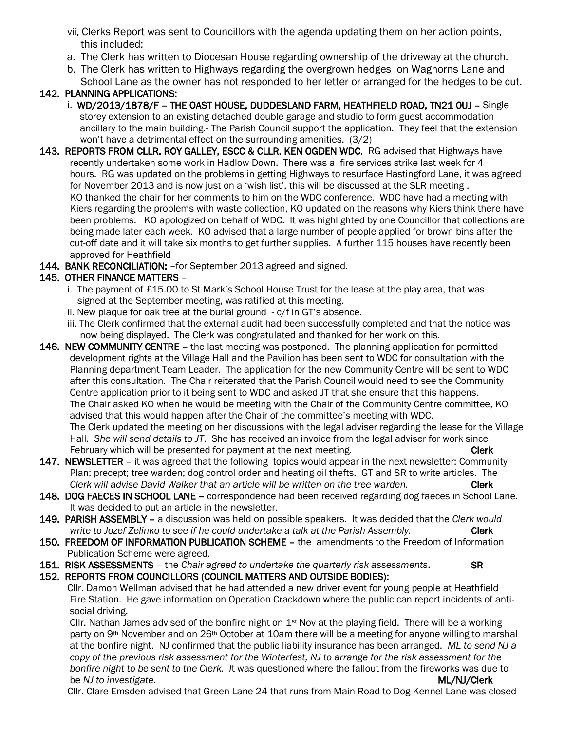- vii. Clerks Report was sent to Councillors with the agenda updating them on her action points, this included:
- a. The Clerk has written to Diocesan House regarding ownership of the driveway at the church.
- b. The Clerk has written to Highways regarding the overgrown hedges on Waghorns Lane and School Lane as the owner has not responded to her letter or arranged for the hedges to be cut.

# 142. PLANNING APPLICATIONS:

- i. WD/2013/1878/F THE OAST HOUSE, DUDDESLAND FARM, HEATHFIELD ROAD, TN21 OUJ Single storey extension to an existing detached double garage and studio to form guest accommodation ancillary to the main building.- The Parish Council support the application. They feel that the extension won't have a detrimental effect on the surrounding amenities. (3/2)
- 143. REPORTS FROM CLLR. ROY GALLEY, ESCC & CLLR. KEN OGDEN WDC. RG advised that Highways have recently undertaken some work in Hadlow Down. There was a fire services strike last week for 4 hours. RG was updated on the problems in getting Highways to resurface Hastingford Lane, it was agreed for November 2013 and is now just on a 'wish list', this will be discussed at the SLR meeting . KO thanked the chair for her comments to him on the WDC conference. WDC have had a meeting with Kiers regarding the problems with waste collection, KO updated on the reasons why Kiers think there have been problems. KO apologized on behalf of WDC. It was highlighted by one Councillor that collections are being made later each week. KO advised that a large number of people applied for brown bins after the cut-off date and it will take six months to get further supplies. A further 115 houses have recently been approved for Heathfield
- 144. BANK RECONCILIATION: for September 2013 agreed and signed.

# 145. OTHER FINANCE MATTERS –

- i. The payment of £15.00 to St Mark's School House Trust for the lease at the play area, that was signed at the September meeting, was ratified at this meeting.
- ii. New plaque for oak tree at the burial ground c/f in GT's absence.
- iii. The Clerk confirmed that the external audit had been successfully completed and that the notice was now being displayed. The Clerk was congratulated and thanked for her work on this.
- 146. NEW COMMUNITY CENTRE the last meeting was postponed. The planning application for permitted development rights at the Village Hall and the Pavilion has been sent to WDC for consultation with the Planning department Team Leader. The application for the new Community Centre will be sent to WDC after this consultation. The Chair reiterated that the Parish Council would need to see the Community Centre application prior to it being sent to WDC and asked JT that she ensure that this happens. The Chair asked KO when he would be meeting with the Chair of the Community Centre committee, KO advised that this would happen after the Chair of the committee's meeting with WDC. The Clerk updated the meeting on her discussions with the legal adviser regarding the lease for the Village Hall. *She will send details to JT*. She has received an invoice from the legal adviser for work since February which will be presented for payment at the next meeting. The control of the Clerk
- 147. NEWSLETTER it was agreed that the following topics would appear in the next newsletter: Community Plan; precept; tree warden; dog control order and heating oil thefts. GT and SR to write articles. The *Clerk will advise David Walker that an article will be written on the tree warden.* Clerk
- 148. DOG FAECES IN SCHOOL LANE correspondence had been received regarding dog faeces in School Lane. It was decided to put an article in the newsletter.
- 149. PARISH ASSEMBLY a discussion was held on possible speakers. It was decided that the *Clerk would write to Jozef Zelinko to see if he could undertake a talk at the Parish Assembly.* Clerk
- 150. FREEDOM OF INFORMATION PUBLICATION SCHEME the amendments to the Freedom of Information Publication Scheme were agreed.
- 151. RISK ASSESSMENTS the *Chair agreed to undertake the quarterly risk assessments*. SR
- 152. REPORTS FROM COUNCILLORS (COUNCIL MATTERS AND OUTSIDE BODIES):

 Cllr. Damon Wellman advised that he had attended a new driver event for young people at Heathfield Fire Station. He gave information on Operation Crackdown where the public can report incidents of anti social driving.

Cllr. Nathan James advised of the bonfire night on  $1<sup>st</sup>$  Nov at the playing field. There will be a working party on 9<sup>th</sup> November and on 26<sup>th</sup> October at 10am there will be a meeting for anyone willing to marshal at the bonfire night. NJ confirmed that the public liability insurance has been arranged. *ML to send NJ a copy of the previous risk assessment for the Winterfest, NJ to arrange for the risk assessment for the bonfire night to be sent to the Clerk. I*t was questioned where the fallout from the fireworks was due to be *NJ* to investigate. The *n*-contract of the *NJ* to investigate.

Cllr. Clare Emsden advised that Green Lane 24 that runs from Main Road to Dog Kennel Lane was closed